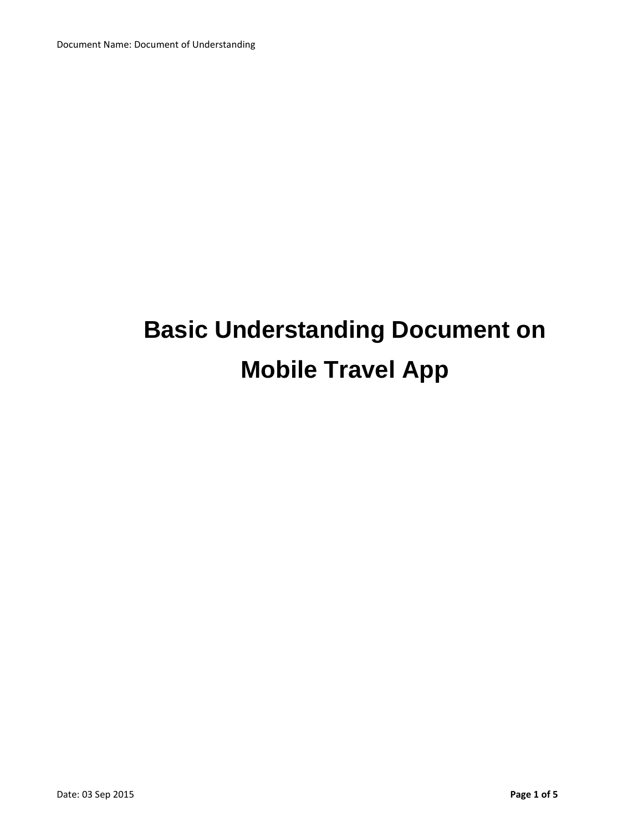# **Basic Understanding Document on Mobile Travel App**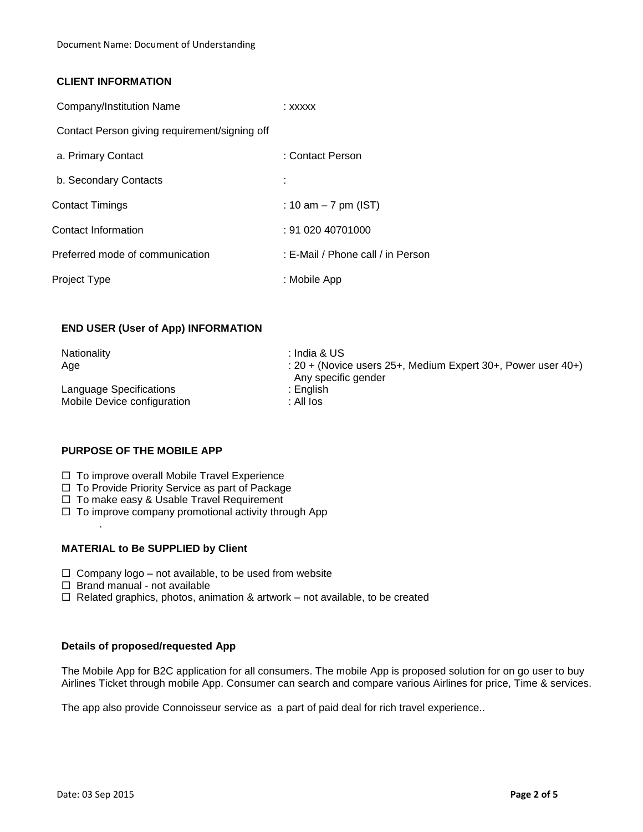# **CLIENT INFORMATION**

| Company/Institution Name                      | : xxxxx                           |
|-----------------------------------------------|-----------------------------------|
| Contact Person giving requirement/signing off |                                   |
| a. Primary Contact                            | : Contact Person                  |
| b. Secondary Contacts                         |                                   |
| Contact Timings                               | : 10 am $-7$ pm (IST)             |
| Contact Information                           | : 91 020 40701000                 |
| Preferred mode of communication               | : E-Mail / Phone call / in Person |
| Project Type                                  | : Mobile App                      |

## **END USER (User of App) INFORMATION**

| Nationality                 | ∶ India & US                                                   |
|-----------------------------|----------------------------------------------------------------|
| Age                         | : $20 +$ (Novice users 25+, Medium Expert 30+, Power user 40+) |
|                             | Any specific gender                                            |
| Language Specifications     | : English.                                                     |
| Mobile Device configuration | : All los                                                      |

# **PURPOSE OF THE MOBILE APP**

- $\Box$  To improve overall Mobile Travel Experience
- $\Box$  To Provide Priority Service as part of Package
- □ To make easy & Usable Travel Requirement
- $\Box$  To improve company promotional activity through App

## **MATERIAL to Be SUPPLIED by Client**

- $\Box$  Company logo not available, to be used from website
- $\Box$  Brand manual not available

.

 $\Box$  Related graphics, photos, animation & artwork – not available, to be created

#### **Details of proposed/requested App**

The Mobile App for B2C application for all consumers. The mobile App is proposed solution for on go user to buy Airlines Ticket through mobile App. Consumer can search and compare various Airlines for price, Time & services.

The app also provide Connoisseur service as a part of paid deal for rich travel experience..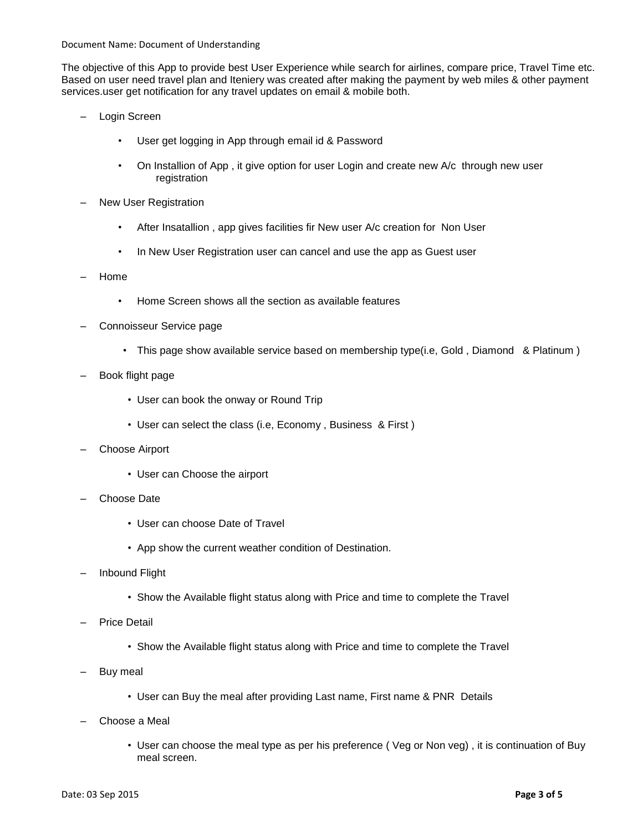Document Name: Document of Understanding

The objective of this App to provide best User Experience while search for airlines, compare price, Travel Time etc. Based on user need travel plan and Iteniery was created after making the payment by web miles & other payment services.user get notification for any travel updates on email & mobile both.

- Login Screen
	- User get logging in App through email id & Password
	- On Installion of App , it give option for user Login and create new A/c through new user registration
- New User Registration
	- After Insatallion , app gives facilities fir New user A/c creation for Non User
	- In New User Registration user can cancel and use the app as Guest user
- Home
	- Home Screen shows all the section as available features
- Connoisseur Service page
	- This page show available service based on membership type(i.e, Gold, Diamond & Platinum)
- Book flight page
	- User can book the onway or Round Trip
	- User can select the class (i.e, Economy , Business & First )
- Choose Airport
	- User can Choose the airport
- Choose Date
	- User can choose Date of Travel
	- App show the current weather condition of Destination.
- Inbound Flight
	- Show the Available flight status along with Price and time to complete the Travel
- Price Detail
	- Show the Available flight status along with Price and time to complete the Travel
- Buy meal
	- User can Buy the meal after providing Last name, First name & PNR Details
- Choose a Meal
	- User can choose the meal type as per his preference ( Veg or Non veg) , it is continuation of Buy meal screen.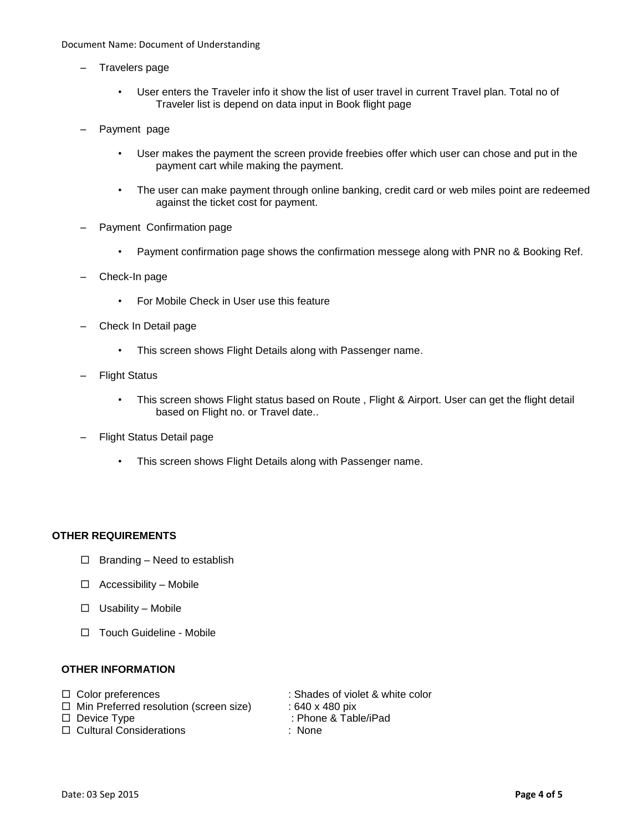#### Document Name: Document of Understanding

- Travelers page
	- User enters the Traveler info it show the list of user travel in current Travel plan. Total no of Traveler list is depend on data input in Book flight page
- Payment page
	- User makes the payment the screen provide freebies offer which user can chose and put in the payment cart while making the payment.
	- The user can make payment through online banking, credit card or web miles point are redeemed against the ticket cost for payment.
- Payment Confirmation page
	- Payment confirmation page shows the confirmation messege along with PNR no & Booking Ref.
- Check-In page
	- For Mobile Check in User use this feature
- Check In Detail page
	- This screen shows Flight Details along with Passenger name.
- **Flight Status** 
	- This screen shows Flight status based on Route , Flight & Airport. User can get the flight detail based on Flight no. or Travel date..
- Flight Status Detail page
	- This screen shows Flight Details along with Passenger name.

# **OTHER REQUIREMENTS**

- $\Box$  Branding Need to establish
- $\Box$  Accessibility Mobile
- $\Box$  Usability Mobile
- □ Touch Guideline Mobile

### **OTHER INFORMATION**

| $\Box$ Color preferences                      | : Shades of violet & white color |
|-----------------------------------------------|----------------------------------|
| $\Box$ Min Preferred resolution (screen size) | : 640 x 480 pix                  |
| $\Box$ Device Type                            | : Phone & Table/iPad             |
| $\Box$ Cultural Considerations                | : None                           |